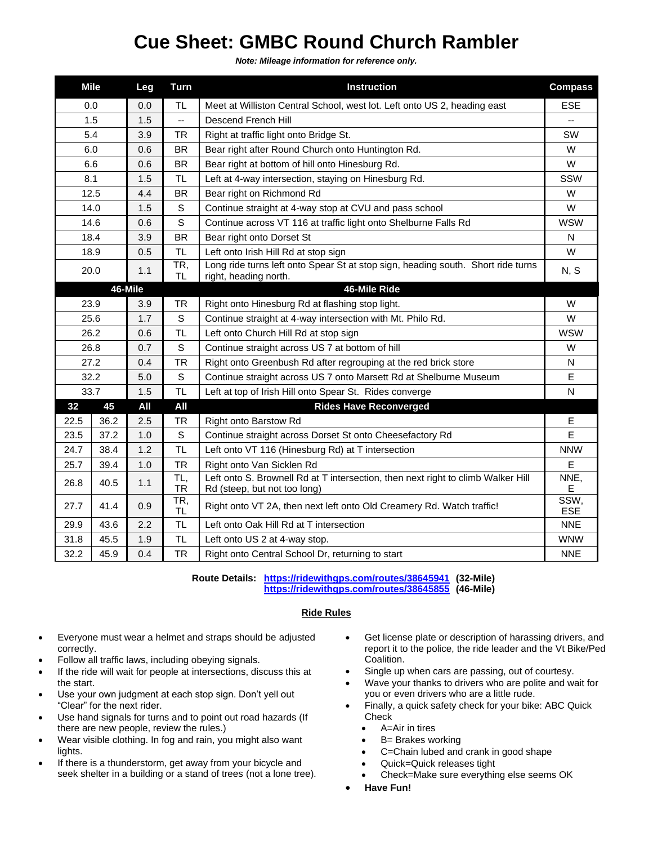## **Cue Sheet: GMBC Round Church Rambler**

*Note: Mileage information for reference only.*

| <b>Mile</b> |      | Leg | <b>Turn</b>      | <b>Instruction</b>                                                                                               | <b>Compass</b>     |
|-------------|------|-----|------------------|------------------------------------------------------------------------------------------------------------------|--------------------|
| 0.0         |      | 0.0 | <b>TL</b>        | Meet at Williston Central School, west lot. Left onto US 2, heading east                                         | <b>ESE</b>         |
| 1.5         |      | 1.5 | Ξ.               | Descend French Hill                                                                                              |                    |
| 5.4         |      | 3.9 | <b>TR</b>        | Right at traffic light onto Bridge St.                                                                           | SW                 |
| 6.0         |      | 0.6 | <b>BR</b>        | Bear right after Round Church onto Huntington Rd.                                                                | W                  |
| 6.6         |      | 0.6 | <b>BR</b>        | Bear right at bottom of hill onto Hinesburg Rd.                                                                  | W                  |
| 8.1         |      | 1.5 | <b>TL</b>        | Left at 4-way intersection, staying on Hinesburg Rd.                                                             | SSW                |
| 12.5        |      | 4.4 | <b>BR</b>        | Bear right on Richmond Rd                                                                                        | W                  |
| 14.0        |      | 1.5 | S                | Continue straight at 4-way stop at CVU and pass school                                                           | W                  |
| 14.6        |      | 0.6 | S                | Continue across VT 116 at traffic light onto Shelburne Falls Rd                                                  | <b>WSW</b>         |
| 18.4        |      | 3.9 | <b>BR</b>        | Bear right onto Dorset St                                                                                        | N                  |
| 18.9        |      | 0.5 | <b>TL</b>        | Left onto Irish Hill Rd at stop sign                                                                             | W                  |
| 20.0        |      | 1.1 | TR,<br><b>TL</b> | Long ride turns left onto Spear St at stop sign, heading south. Short ride turns<br>right, heading north.        | N, S               |
| 46-Mile     |      |     |                  | 46-Mile Ride                                                                                                     |                    |
| 23.9        |      | 3.9 | TR               | Right onto Hinesburg Rd at flashing stop light.                                                                  | W                  |
| 25.6        |      | 1.7 | S                | Continue straight at 4-way intersection with Mt. Philo Rd.                                                       | W                  |
| 26.2        |      | 0.6 | <b>TL</b>        | Left onto Church Hill Rd at stop sign                                                                            | <b>WSW</b>         |
| 26.8        |      | 0.7 | S                | Continue straight across US 7 at bottom of hill                                                                  | W                  |
| 27.2        |      | 0.4 | <b>TR</b>        | Right onto Greenbush Rd after regrouping at the red brick store                                                  | N                  |
| 32.2        |      | 5.0 | S                | Continue straight across US 7 onto Marsett Rd at Shelburne Museum                                                | E                  |
| 33.7        |      | 1.5 | <b>TL</b>        | Left at top of Irish Hill onto Spear St. Rides converge                                                          | N                  |
| 32          | 45   | All | All              | <b>Rides Have Reconverged</b>                                                                                    |                    |
| 22.5        | 36.2 | 2.5 | TR               | <b>Right onto Barstow Rd</b>                                                                                     | E                  |
| 23.5        | 37.2 | 1.0 | S                | Continue straight across Dorset St onto Cheesefactory Rd                                                         | E                  |
| 24.7        | 38.4 | 1.2 | <b>TL</b>        | Left onto VT 116 (Hinesburg Rd) at T intersection                                                                | <b>NNW</b>         |
| 25.7        | 39.4 | 1.0 | <b>TR</b>        | Right onto Van Sicklen Rd                                                                                        | E                  |
| 26.8        | 40.5 | 1.1 | TL,<br>TR        | Left onto S. Brownell Rd at T intersection, then next right to climb Walker Hill<br>Rd (steep, but not too long) | NNE,<br>Е          |
| 27.7        | 41.4 | 0.9 | TR,<br>TL.       | Right onto VT 2A, then next left onto Old Creamery Rd. Watch traffic!                                            | SSW,<br><b>ESE</b> |
| 29.9        | 43.6 | 2.2 | <b>TL</b>        | Left onto Oak Hill Rd at T intersection                                                                          | <b>NNE</b>         |
| 31.8        | 45.5 | 1.9 | <b>TL</b>        | Left onto US 2 at 4-way stop.                                                                                    | <b>WNW</b>         |
| 32.2        | 45.9 | 0.4 | <b>TR</b>        | Right onto Central School Dr, returning to start                                                                 | <b>NNE</b>         |

**Route Details: <https://ridewithgps.com/routes/38645941> (32-Mile) <https://ridewithgps.com/routes/38645855> (46-Mile)**

## **Ride Rules**

- Everyone must wear a helmet and straps should be adjusted correctly.
- Follow all traffic laws, including obeying signals.
- If the ride will wait for people at intersections, discuss this at the start.
- Use your own judgment at each stop sign. Don't yell out "Clear" for the next rider.
- Use hand signals for turns and to point out road hazards (If there are new people, review the rules.)
- Wear visible clothing. In fog and rain, you might also want lights.
- If there is a thunderstorm, get away from your bicycle and seek shelter in a building or a stand of trees (not a lone tree).
- Get license plate or description of harassing drivers, and report it to the police, the ride leader and the Vt Bike/Ped Coalition.
- Single up when cars are passing, out of courtesy.
- Wave your thanks to drivers who are polite and wait for you or even drivers who are a little rude.
- Finally, a quick safety check for your bike: ABC Quick Check
	- A=Air in tires
	- B= Brakes working
	- C=Chain lubed and crank in good shape
	- Quick=Quick releases tight
	- Check=Make sure everything else seems OK
- **Have Fun!**